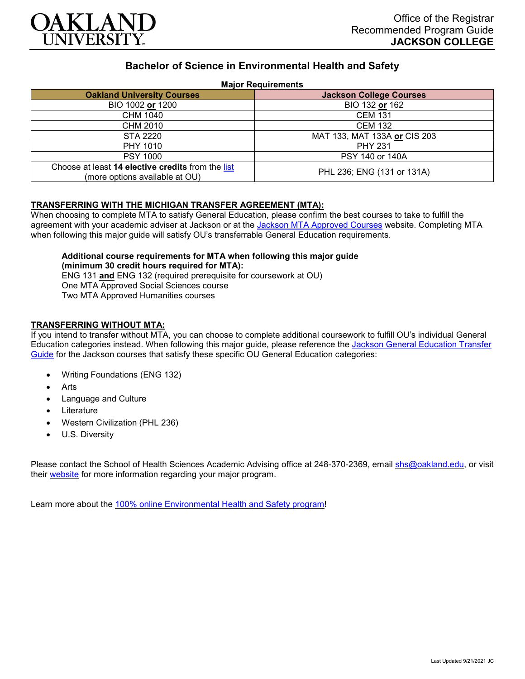

# **Bachelor of Science in Environmental Health and Safety**

### **Major Requirements**

| <b>Oakland University Courses</b>                                                   | <b>Jackson College Courses</b> |
|-------------------------------------------------------------------------------------|--------------------------------|
| BIO 1002 or 1200                                                                    | BIO 132 or 162                 |
| CHM 1040                                                                            | <b>CEM 131</b>                 |
| CHM 2010                                                                            | <b>CEM 132</b>                 |
| STA 2220                                                                            | MAT 133, MAT 133A or CIS 203   |
| PHY 1010                                                                            | <b>PHY 231</b>                 |
| <b>PSY 1000</b>                                                                     | PSY 140 or 140A                |
| Choose at least 14 elective credits from the list<br>(more options available at OU) | PHL 236; ENG (131 or 131A)     |

### **TRANSFERRING WITH THE MICHIGAN TRANSFER AGREEMENT (MTA):**

When choosing to complete MTA to satisfy General Education, please confirm the best courses to take to fulfill the agreement with your academic adviser at Jackson or at the [Jackson MTA Approved Courses](https://www.jccmi.edu/transfer/michigan-transfer-agreement/) website. Completing MTA when following this major guide will satisfy OU's transferrable General Education requirements.

# **Additional course requirements for MTA when following this major guide (minimum 30 credit hours required for MTA):**

ENG 131 **and** ENG 132 (required prerequisite for coursework at OU) One MTA Approved Social Sciences course Two MTA Approved Humanities courses

### **TRANSFERRING WITHOUT MTA:**

If you intend to transfer without MTA, you can choose to complete additional coursework to fulfill OU's individual General Education categories instead. When following this major guide, please reference the [Jackson General Education Transfer](https://www.oakland.edu/Assets/Oakland/program-guides/jackson-college/university-general-education-requirements/Jackson%20Gen%20Ed.pdf)  [Guide](https://www.oakland.edu/Assets/Oakland/program-guides/jackson-college/university-general-education-requirements/Jackson%20Gen%20Ed.pdf) for the Jackson courses that satisfy these specific OU General Education categories:

- Writing Foundations (ENG 132)
- **Arts**
- Language and Culture
- **Literature**
- Western Civilization (PHL 236)
- U.S. Diversity

Please contact the School of Health Sciences Academic Advising office at 248-370-2369, email [shs@oakland.edu,](mailto:shs@oakland.edu) or visit their [website](http://www.oakland.edu/shs/advising) for more information regarding your major program.

Learn more about the [100% online Environmental Health and Safety program!](https://www.oakland.edu/online/undergraduate-degree-programs/ehs/)